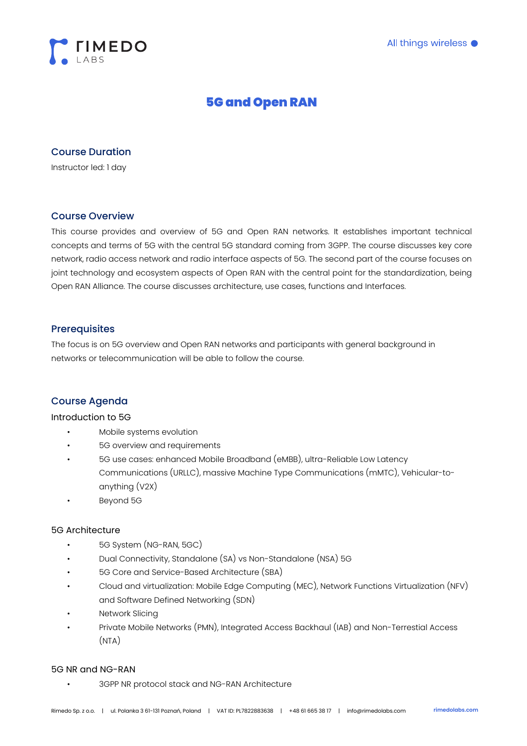

# 5G and Open RAN

# Course Duration

Instructor led: 1 day

# Course Overview

This course provides and overview of 5G and Open RAN networks. It establishes important technical concepts and terms of 5G with the central 5G standard coming from 3GPP. The course discusses key core network, radio access network and radio interface aspects of 5G. The second part of the course focuses on joint technology and ecosystem aspects of Open RAN with the central point for the standardization, being Open RAN Alliance. The course discusses architecture, use cases, functions and Interfaces.

# **Prerequisites**

The focus is on 5G overview and Open RAN networks and participants with general background in networks or telecommunication will be able to follow the course.

# Course Agenda

#### Introduction to 5G

- Mobile systems evolution
- 5G overview and requirements
- 5G use cases: enhanced Mobile Broadband (eMBB), ultra-Reliable Low Latency Communications (URLLC), massive Machine Type Communications (mMTC), Vehicular-toanything (V2X)
- Beyond 5G

## 5G Architecture

- 5G System (NG-RAN, 5GC)
- Dual Connectivity, Standalone (SA) vs Non-Standalone (NSA) 5G
- 5G Core and Service-Based Architecture (SBA)
- Cloud and virtualization: Mobile Edge Computing (MEC), Network Functions Virtualization (NFV) and Software Defined Networking (SDN)
- **Network Slicing**
- Private Mobile Networks (PMN), Integrated Access Backhaul (IAB) and Non-Terrestial Access (NTA)

#### 5G NR and NG-RAN

• 3GPP NR protocol stack and NG-RAN Architecture